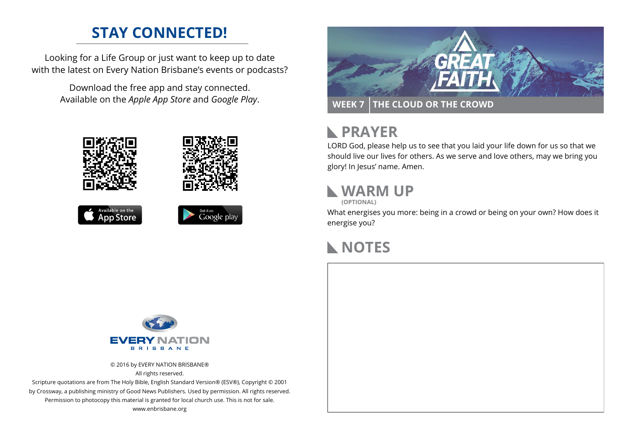## **STAY CONNECTED!**

Looking for a Life Group or just want to keep up to date with the latest on Every Nation Brisbane's events or podcasts?

> Download the free app and stay connected. Available on the *Apple App Store* and *Google Play*.











# **RAYER**

LORD God, please help us to see that you laid your life down for us so that we should live our lives for others. As we serve and love others, may we bring you glory! In Jesus' name. Amen.

# **WARM UP**

**(OPTIONAL)**

What energises you more: being in a crowd or being on your own? How does it energise you?

#### **NOTES**



© 2016 by EVERY NATION BRISBANE® All rights reserved.

Scripture quotations are from The Holy Bible, English Standard Version® (ESV®), Copyright © 2001 by Crossway, a publishing ministry of Good News Publishers. Used by permission. All rights reserved. Permission to photocopy this material is granted for local church use. This is not for sale. www.enbrisbane.org